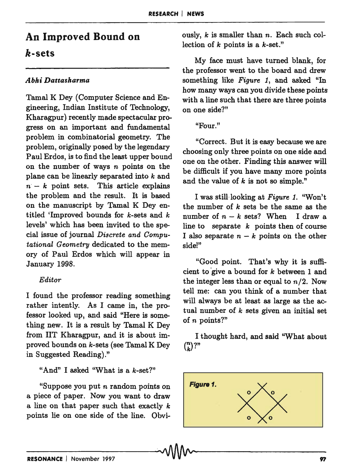# An Improved Bound on

## *k-sets*

## *Abhi Dattasharma*

Tamal K Dey (Computer Science and Engineering, Indian Institute of Technology, Kharagpur) recently made spectacular progress on an important and fundamental problem in combinatorial geometry. The problem, originally posed by the legendary Paul Erdos, is to find the least upper bound on the number of ways  $n$  points on the plane can be linearly separated into *k* and  $n-k$  point sets. This article explains the problem and the result. It is based on the manuscript by Tamal K Dey entitled 'Improved bounds for k-sets and *k*  levels' which has been invited to the special issue of journal *Discrete and Oomputational Geometry* dedicated to the memory of Paul Erdos which will appear in January 1998.

## *Editor*

I found the professor reading something rather intently. As I came in, the professor looked up, and said "Here is something new. It is a result by Tamal K Dey from lIT Kharagpur, and it is about improved bounds on k-sets (see Tamal K Dey in Suggested Reading)."

## "And" I asked "What is a k-set?"

"Suppose you put *n* random points on a piece of paper. Now you want to draw a line on that paper such that exactly *k*  points lie on one side of the line. Obviously, *k* is smaller than *n.* Each such collection of *k* points is a k-set."

My face must have turned blank, for the professor went to the board and drew something like *Figure* 1, and asked "In how many ways can you divide these points with a line such that there are three points on one side?"

"Four."

"Correct. But it is easy because we are choosing only three points on one side and one on the other. Finding this answer will be difficult if you have many more points and the value of *k* is not so simple."

I was still-looking at *Figure* 1. "Won't the number of *k* sets be the same as the number of  $n - k$  sets? When I draw a line to separate *k* points then of course I also separate  $n - k$  points on the other side!"

"Good point. That's why it is sufficient to 'give a bound for *k* between 1 and the integer less than or equal to  $n/2$ . Now tell me: can you think of a number that will always be at least as large as the actual number of *k* sets given an initial set of n points?"

I thought hard, and said "What about  $\binom{n}{k}$ ?"

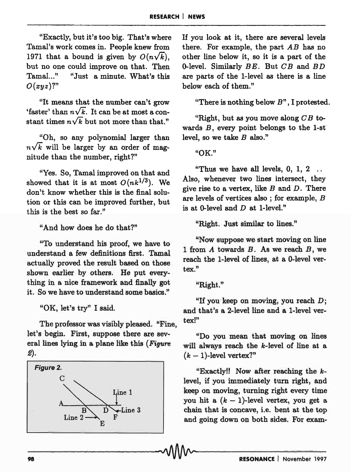"Exactly, but it's too big. That's where Tamal's work comes in. People knew from 1971 that a bound is given by  $O(n\sqrt{k})$ . but no one could improve on that. Then Tamal..." "Just a minute. What's this *O(xyz)1"* 

"It means that the number can't grow 'faster' than  $n\sqrt{k}$ . It can be at most a constant times  $n\sqrt{k}$  but not more than that."

"Oh, so any polynomial larger than  $n\sqrt{k}$  will be larger by an order of magnitude than the number, right?"

"Yes. So, Tamal improved on that and showed that it is at most  $O(nk^{1/3})$ . We don't know whether this is the final solution or this can be improved further, but this is the best so far."

"And how does he do that?"

"To understand his proof, we have to understand a few definitions first. Tamal actually proved the result based on those shown earlier by others. He put everything in a nice framework and finally got it. So we have to understand some basics."

"OK, let's try" I said.

The professor was visibly pleased. "Fine, let's begin. First, suppose there are several lines lying in a plane like this *(Figure*  2).



If you look at it, there are several levels there. For example, the part  $AB$  has no other line below it, so it is a part of the 0-level. Similarly  $BE$ . But  $CB$  and  $BD$ are parts of the 1-level as there is a line below each of them."

"There is nothing below *B"* , I protested.

"Right, but as you move along  $CB$  towards  $B$ , every point belongs to the 1-st level, so we take *B* also."

"OK."

"Thus we have all levels,  $0, 1, 2$ ... Also, whenever two lines intersect, they give rise to a vertex, like  $B$  and  $D$ . There are levels of vertices also ; for example, *B*  is at 0-level and  $D$  at 1-level."

"Right. Just similar to lines."

"Now suppose we-start moving on line 1 from  $A$  towards  $B$ . As we reach  $B$ , we reach the 1-level of lines, at a O-level vertex."

"Right."

"If you keep on moving, you reach  $D$ ; and that's a 2-level line and a 1-level vertex!"

"Do you mean that moving on lines will always reach the k-Ievel of line at a  $(k-1)$ -level vertex?"

"Exactly!! Now after reaching the klevel, if you immediately turn right, and keep on moving, turning right every time you hit a  $(k - 1)$ -level vertex, you get a chain that is concave, i.e. bent at the top and going down on both sides. For exam-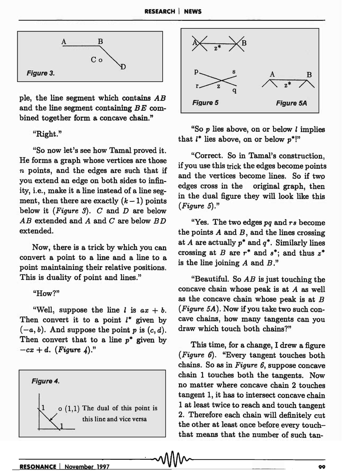

pIe, the line segment which contains *AB*  and the line segment containing *BE* combined together form a concave chain."

### "Right."

"So now let's see how Tamal proved it. He forms a graph whose vertices are those *n* points, and the edges are such that if you extend an edge on both sides to infinity, i.e., make it a line instead of a line segment, then there are exactly  $(k-1)$  points below it *(Figure* 3). *C* and *D* are below *AB* extended and *A* and *C* are below *B D*  extended.

Now, there is a trick by which you can convert a point to a line and a line to a point maintaining their relative positions. This is duality of point and lines."

#### "How?"

"Well, suppose the line  $l$  is  $ax + b$ . Then convert it to a point  $l^*$  given by  $(-a, b)$ . And suppose the point p is  $(c, d)$ . Then convert that to a line *p\** given by  $-cx + d$ . *(Figure 4).*"





"So  $p$  lies above, on or below  $l$  implies that *1\** lies above, on or below *p\*!"* 

"Correct. So in Tamal's construction, if you use this trick the edges become points and the vertices become lines. So if two edges cross in the original graph, then in the dual figure they will look like this *(Figure 5)."* 

"Yes. The two edges *pq* and *rs* become the points *A* and *B,* and the lines crossing at *A* are actually *p\** and *q\*.* Similarly lines crossing at B are  $r^*$  and  $s^*$ ; and thus  $z^*$ is the line joining *A* and *B."* 

"Beautiful. So *AB* is just touching the concave chain whose peak is at *A* as well as the concave chain whose peak is at  $B$ *(Figure 5A).* Now if you take two such concave chains, how many tangents can you draw which touch both chains?"

This time, for a change, I drew a figure *(Figure* 6). "Every tangent touches both chains. So as in *Figure* 6, suppose concave chain 1 touches both the tangents. Now no matter where concave chain 2 touches tangent 1, it has to intersect concave chain 1 at least twice to reach and touch tangent 2. Therefore each chain will definitely cut the other at least once before every touchthat means that the number of such tan that means that the number of such tan-<br>RESONANCE | November 1997 v V V V V v 99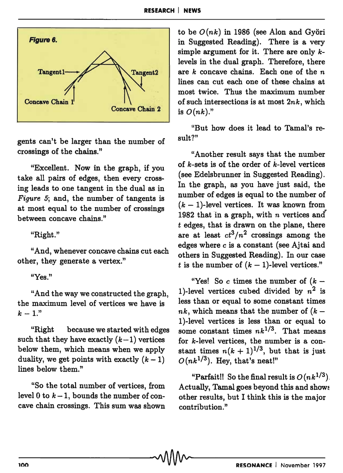

gents can't be larger than the number of crossings of the chains."

"Excellent. Now in the graph, if you take all pairs of edges, then every crossing leads to one tangent in the dual as in *Figure 5*; and, the number of tangents is at most equal to the number of crossings between concave chains."

"Right."

"And, whenever concave chains cut each other, they generate a vertex."

### "Yes."

"And the way we constructed the graph, the maximum level of vertices we have is  $k - 1.$ "

"Right because we started with edges such that they have exactly  $(k-1)$  vertices below them, which means when we apply duality, we get points with exactly  $(k - 1)$ lines below them."

"So the total number of vertices, from level 0 to  $k-1$ , bounds the number of concave chain crossings. This sum was shown

to be  $O(nk)$  in 1986 (see Alon and Györi in Suggested Reading). There is a very simple argument for it. There are only klevels in the dual graph. Therefore, there are *k* concave chains. Each one of the n lines can cut each one of these chains at most twice. Thus the maximum number of such intersections is at most *2nk,* which is *O(nk)."* 

"But how does it lead to Tamal's result?"

"Another result says that the number of  $k$ -sets is of the order of  $k$ -level vertices (see EdeIsbrunner in Suggested Reading). In the graph, as you have just said, the number of edges is equal to the number of  $(k - 1)$ -level vertices. It was known from 1982 that 1n a graph, with *n* vertices and t edges, that is drawn on the plane, there are at least  $ct^3/n^2$  crossings among the edges where e is a constant (see Ajtai and others in Suggested Reading). In our case t is the number of  $(k - 1)$ -level vertices."

"Yes! So c times the number of  $(k -$ 1)-level vertices cubed divided by  $n^2$  is less than or equal to some constant times  $nk$ , which means that the number of  $(k-$ 1 )-level vertices is less than or equal to some constant times  $nk^{1/3}$ . That means for k-Ievel vertices, the number is a constant times  $n(k + 1)^{1/3}$ , but that is just  $O(nk^{1/3})$ . Hey, that's neat!"

"Parfait!! So the final result is  $O(nk^{1/3})$ . Actually, Tamal goes beyond this and shows other results, but I think this is the major contribution. "